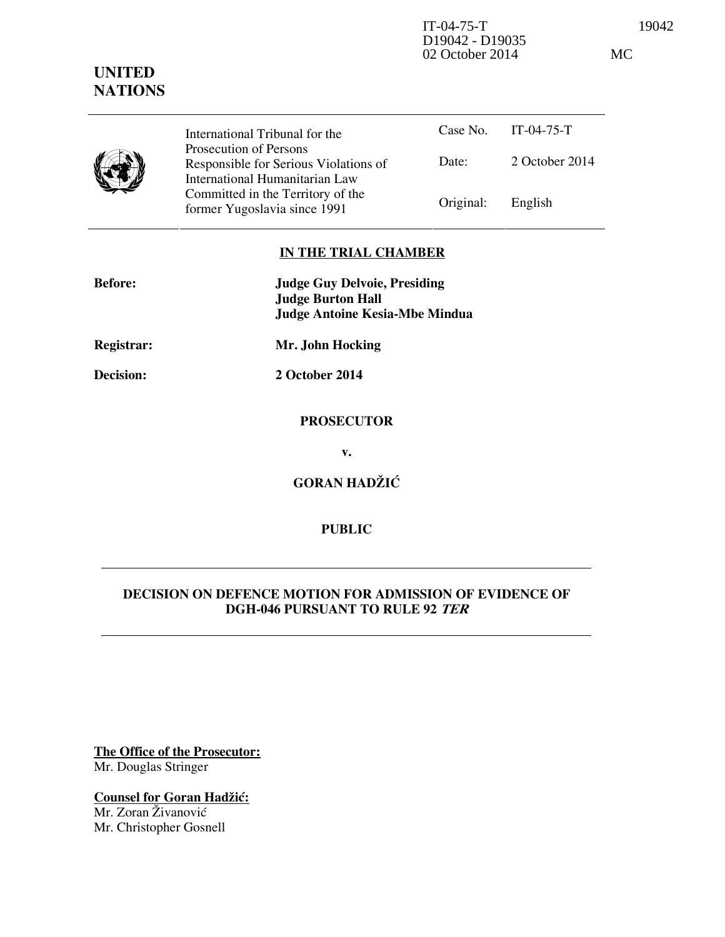D19042 - D19035 02 October 2014 MC

# **UNITED NATIONS**

Case No. IT-04-75-T Date: 2 October 2014 International Tribunal for the Prosecution of Persons Responsible for Serious Violations of International Humanitarian Law Committed in the Territory of the Former Yugoslavia since 1991 Original: English

# **IN THE TRIAL CHAMBER**

| <b>Before:</b> | <b>Judge Guy Delvoie, Presiding</b><br><b>Judge Burton Hall</b><br><b>Judge Antoine Kesia-Mbe Mindua</b> |
|----------------|----------------------------------------------------------------------------------------------------------|
| Registrar:     | Mr. John Hocking                                                                                         |
| Decision:      | 2 October 2014                                                                                           |
|                | <b>PROSECUTOR</b>                                                                                        |
|                | v.                                                                                                       |
|                | <b>GORAN HADŽIĆ</b>                                                                                      |

**PUBLIC** 

# **DECISION ON DEFENCE MOTION FOR ADMISSION OF EVIDENCE OF DGH-046 PURSUANT TO RULE 92 TER**

**The Office of the Prosecutor:** Mr. Douglas Stringer

**Counsel for Goran Hadžić:** Mr. Zoran Živanović Mr. Christopher Gosnell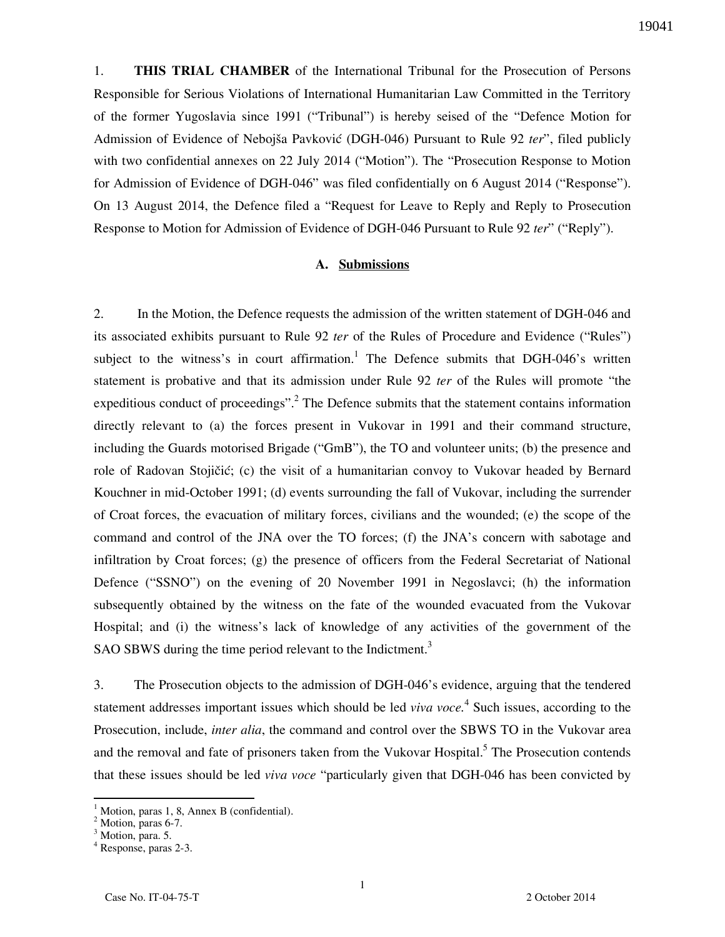1. **THIS TRIAL CHAMBER** of the International Tribunal for the Prosecution of Persons Responsible for Serious Violations of International Humanitarian Law Committed in the Territory of the former Yugoslavia since 1991 ("Tribunal") is hereby seised of the "Defence Motion for Admission of Evidence of Nebojša Pavković (DGH-046) Pursuant to Rule 92 *ter*", filed publicly with two confidential annexes on 22 July 2014 ("Motion"). The "Prosecution Response to Motion for Admission of Evidence of DGH-046" was filed confidentially on 6 August 2014 ("Response"). On 13 August 2014, the Defence filed a "Request for Leave to Reply and Reply to Prosecution Response to Motion for Admission of Evidence of DGH-046 Pursuant to Rule 92 *ter*" ("Reply").

#### **A. Submissions**

2. In the Motion, the Defence requests the admission of the written statement of DGH-046 and its associated exhibits pursuant to Rule 92 *ter* of the Rules of Procedure and Evidence ("Rules") subject to the witness's in court affirmation.<sup>1</sup> The Defence submits that DGH-046's written statement is probative and that its admission under Rule 92 *ter* of the Rules will promote "the expeditious conduct of proceedings".<sup>2</sup> The Defence submits that the statement contains information directly relevant to (a) the forces present in Vukovar in 1991 and their command structure, including the Guards motorised Brigade ("GmB"), the TO and volunteer units; (b) the presence and role of Radovan Stojičić; (c) the visit of a humanitarian convoy to Vukovar headed by Bernard Kouchner in mid-October 1991; (d) events surrounding the fall of Vukovar, including the surrender of Croat forces, the evacuation of military forces, civilians and the wounded; (e) the scope of the command and control of the JNA over the TO forces; (f) the JNA's concern with sabotage and infiltration by Croat forces; (g) the presence of officers from the Federal Secretariat of National Defence ("SSNO") on the evening of 20 November 1991 in Negoslavci; (h) the information subsequently obtained by the witness on the fate of the wounded evacuated from the Vukovar Hospital; and (i) the witness's lack of knowledge of any activities of the government of the SAO SBWS during the time period relevant to the Indictment.<sup>3</sup>

3. The Prosecution objects to the admission of DGH-046's evidence, arguing that the tendered statement addresses important issues which should be led *viva voce*.<sup>4</sup> Such issues, according to the Prosecution, include, *inter alia*, the command and control over the SBWS TO in the Vukovar area and the removal and fate of prisoners taken from the Vukovar Hospital.<sup>5</sup> The Prosecution contends that these issues should be led *viva voce* "particularly given that DGH-046 has been convicted by

<sup>1</sup> Motion, paras 1, 8, Annex B (confidential).

<sup>&</sup>lt;sup>2</sup> Motion, paras 6-7.

<sup>&</sup>lt;sup>3</sup> Motion, para. 5.

<sup>4</sup> Response, paras 2-3.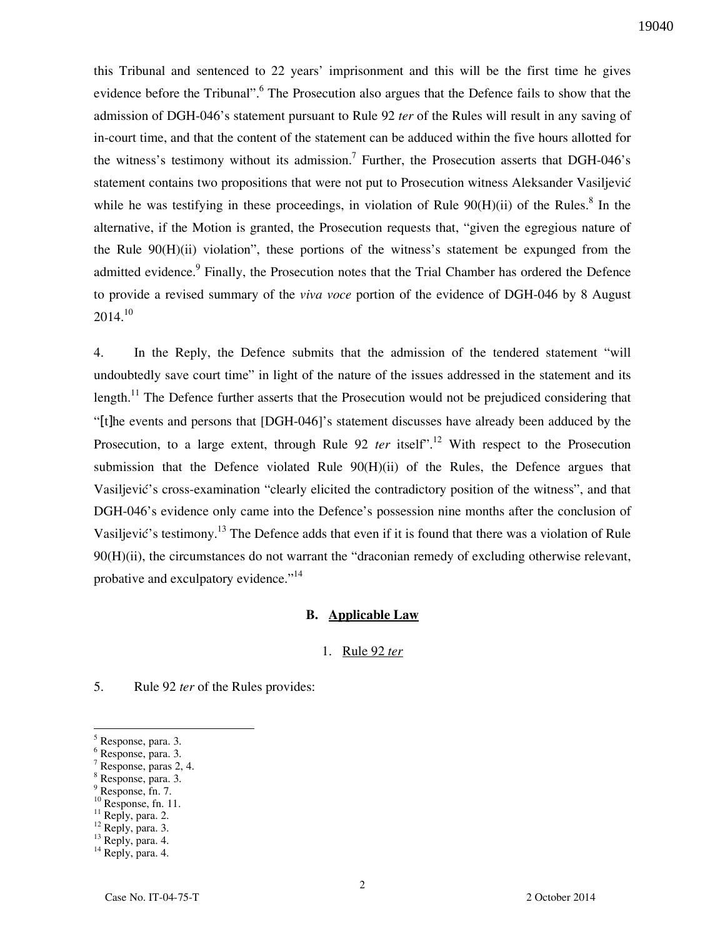this Tribunal and sentenced to 22 years' imprisonment and this will be the first time he gives evidence before the Tribunal". <sup>6</sup> The Prosecution also argues that the Defence fails to show that the admission of DGH-046's statement pursuant to Rule 92 *ter* of the Rules will result in any saving of in-court time, and that the content of the statement can be adduced within the five hours allotted for the witness's testimony without its admission.<sup>7</sup> Further, the Prosecution asserts that DGH-046's statement contains two propositions that were not put to Prosecution witness Aleksander Vasiljević while he was testifying in these proceedings, in violation of Rule  $90(H)(ii)$  of the Rules.<sup>8</sup> In the alternative, if the Motion is granted, the Prosecution requests that, "given the egregious nature of the Rule  $90(H)(ii)$  violation", these portions of the witness's statement be expunged from the admitted evidence.<sup>9</sup> Finally, the Prosecution notes that the Trial Chamber has ordered the Defence to provide a revised summary of the *viva voce* portion of the evidence of DGH-046 by 8 August  $2014^{10}$ 

4. In the Reply, the Defence submits that the admission of the tendered statement "will undoubtedly save court time" in light of the nature of the issues addressed in the statement and its length.<sup>11</sup> The Defence further asserts that the Prosecution would not be prejudiced considering that "[t]he events and persons that [DGH-046]'s statement discusses have already been adduced by the Prosecution, to a large extent, through Rule 92 *ter* itself<sup>", 12</sup> With respect to the Prosecution submission that the Defence violated Rule 90(H)(ii) of the Rules, the Defence argues that Vasiliević's cross-examination "clearly elicited the contradictory position of the witness", and that DGH-046's evidence only came into the Defence's possession nine months after the conclusion of Vasiljević's testimony.<sup>13</sup> The Defence adds that even if it is found that there was a violation of Rule 90(H)(ii), the circumstances do not warrant the "draconian remedy of excluding otherwise relevant, probative and exculpatory evidence."<sup>14</sup>

#### **B. Applicable Law**

#### 1. Rule 92 *ter*

5. Rule 92 *ter* of the Rules provides:

 $\overline{a}$ 

8 Response, para. 3. 9 Response, fn. 7.

<sup>5</sup> Response, para. 3.

<sup>6</sup> Response, para. 3.

<sup>7</sup> Response, paras 2, 4.

 $10$  Response, fn. 11.

 $11$  Reply, para. 2.

 $12$  Reply, para. 3.

<sup>&</sup>lt;sup>13</sup> Reply, para. 4.

<sup>&</sup>lt;sup>14</sup> Reply, para. 4.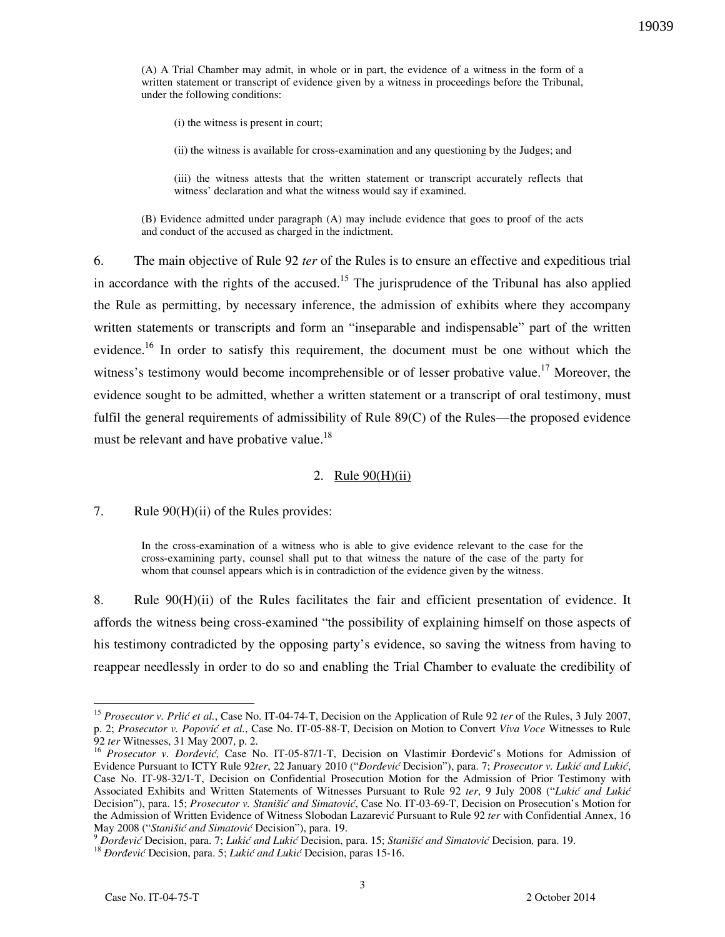(A) A Trial Chamber may admit, in whole or in part, the evidence of a witness in the form of a written statement or transcript of evidence given by a witness in proceedings before the Tribunal, under the following conditions:

(i) the witness is present in court;

(ii) the witness is available for cross-examination and any questioning by the Judges; and

(iii) the witness attests that the written statement or transcript accurately reflects that witness' declaration and what the witness would say if examined.

(B) Evidence admitted under paragraph (A) may include evidence that goes to proof of the acts and conduct of the accused as charged in the indictment.

6. The main objective of Rule 92 *ter* of the Rules is to ensure an effective and expeditious trial in accordance with the rights of the accused.<sup>15</sup> The jurisprudence of the Tribunal has also applied the Rule as permitting, by necessary inference, the admission of exhibits where they accompany written statements or transcripts and form an "inseparable and indispensable" part of the written evidence.<sup>16</sup> In order to satisfy this requirement, the document must be one without which the witness's testimony would become incomprehensible or of lesser probative value.<sup>17</sup> Moreover, the evidence sought to be admitted, whether a written statement or a transcript of oral testimony, must fulfil the general requirements of admissibility of Rule 89(C) of the Rules—the proposed evidence must be relevant and have probative value.<sup>18</sup>

#### 2. Rule 90(H)(ii)

7. Rule 90(H)(ii) of the Rules provides:

In the cross-examination of a witness who is able to give evidence relevant to the case for the cross-examining party, counsel shall put to that witness the nature of the case of the party for whom that counsel appears which is in contradiction of the evidence given by the witness.

8. Rule 90(H)(ii) of the Rules facilitates the fair and efficient presentation of evidence. It affords the witness being cross-examined "the possibility of explaining himself on those aspects of his testimony contradicted by the opposing party's evidence, so saving the witness from having to reappear needlessly in order to do so and enabling the Trial Chamber to evaluate the credibility of

<sup>&</sup>lt;sup>15</sup> Prosecutor v. Prlić et al., Case No. IT-04-74-T, Decision on the Application of Rule 92 *ter* of the Rules, 3 July 2007, p. 2; *Prosecutor v. Popovi} et al.*, Case No. IT-05-88-T, Decision on Motion to Convert *Viva Voce* Witnesses to Rule 92 *ter* Witnesses, 31 May 2007, p. 2.

<sup>&</sup>lt;sup>16</sup> Prosecutor v. Đorđević, Case No. IT-05-87/1-T, Decision on Vlastimir Đorđević's Motions for Admission of Evidence Pursuant to ICTY Rule 92ter, 22 January 2010 ("*Đorđević* Decision"), para. 7; Prosecutor v. Lukić and Lukić, Case No. IT-98-32/1-T, Decision on Confidential Prosecution Motion for the Admission of Prior Testimony with Associated Exhibits and Written Statements of Witnesses Pursuant to Rule 92 ter, 9 July 2008 ("Lukić and Lukić Decision"), para. 15; Prosecutor v. Stanišić and Simatović, Case No. IT-03-69-T, Decision on Prosecution's Motion for the Admission of Written Evidence of Witness Slobodan Lazarević Pursuant to Rule 92 *ter* with Confidential Annex, 16 May 2008 ("Stanišić and Simatović Decision"), para. 19.

<sup>&</sup>lt;sup>9</sup> *Dorđević* Decision, para. 7; *Lukić and Lukić* Decision, para. 15; *Stanišić and Simatović* Decision, para. 19.

<sup>&</sup>lt;sup>18</sup> *Dorđević* Decision, para. 5; *Lukić and Lukić* Decision, paras 15-16.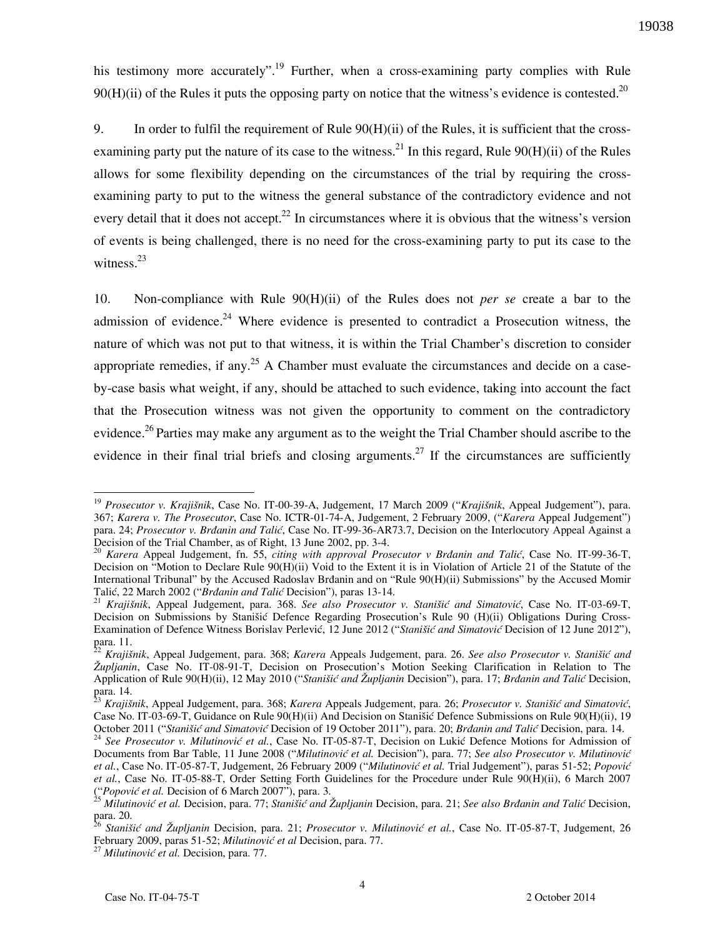his testimony more accurately".<sup>19</sup> Further, when a cross-examining party complies with Rule 90(H)(ii) of the Rules it puts the opposing party on notice that the witness's evidence is contested.<sup>20</sup>

9. In order to fulfil the requirement of Rule 90(H)(ii) of the Rules, it is sufficient that the crossexamining party put the nature of its case to the witness.<sup>21</sup> In this regard, Rule  $90(H)(ii)$  of the Rules allows for some flexibility depending on the circumstances of the trial by requiring the crossexamining party to put to the witness the general substance of the contradictory evidence and not every detail that it does not accept.<sup>22</sup> In circumstances where it is obvious that the witness's version of events is being challenged, there is no need for the cross-examining party to put its case to the witness. $^{23}$ 

10. Non-compliance with Rule 90(H)(ii) of the Rules does not *per se* create a bar to the admission of evidence.<sup>24</sup> Where evidence is presented to contradict a Prosecution witness, the nature of which was not put to that witness, it is within the Trial Chamber's discretion to consider appropriate remedies, if any.<sup>25</sup> A Chamber must evaluate the circumstances and decide on a caseby-case basis what weight, if any, should be attached to such evidence, taking into account the fact that the Prosecution witness was not given the opportunity to comment on the contradictory evidence.<sup>26</sup> Parties may make any argument as to the weight the Trial Chamber should ascribe to the evidence in their final trial briefs and closing arguments.<sup>27</sup> If the circumstances are sufficiently

<sup>19</sup> *Prosecutor v. Krajišnik*, Case No. IT-00-39-A, Judgement, 17 March 2009 ("*Krajišnik*, Appeal Judgement"), para. 367; *Karera v. The Prosecutor*, Case No. ICTR-01-74-A, Judgement, 2 February 2009, ("*Karera* Appeal Judgement") para. 24; *Prosecutor v. Brðanin and Tali}*, Case No. IT-99-36-AR73.7, Decision on the Interlocutory Appeal Against a Decision of the Trial Chamber, as of Right, 13 June 2002, pp. 3-4.

<sup>&</sup>lt;sup>20</sup> *Karera* Appeal Judgement, fn. 55, *citing with approval Prosecutor v Brdanin and Talić*, Case No. IT-99-36-T, Decision on "Motion to Declare Rule 90(H)(ii) Void to the Extent it is in Violation of Article 21 of the Statute of the International Tribunal" by the Accused Radoslav Brðanin and on "Rule 90(H)(ii) Submissions" by the Accused Momir Talić, 22 March 2002 ("*Brđanin and Talić* Decision"), paras 13-14.

<sup>&</sup>lt;sup>21</sup> *Krajišnik*, Appeal Judgement, para. 368. *See also Prosecutor v. Stanišić and Simatović*, Case No. IT-03-69-T, Decision on Submissions by Stanišić Defence Regarding Prosecution's Rule 90 (H)(ii) Obligations During Cross-Examination of Defence Witness Borislav Perlević, 12 June 2012 ("*Stanišić and Simatović* Decision of 12 June 2012"), para. 11.

<sup>22</sup> *Krajišnik*, Appeal Judgement, para. 368; *Karera* Appeals Judgement, para. 26. *See also Prosecutor v. Stani{i} and Župljanin*, Case No. IT-08-91-T, Decision on Prosecution's Motion Seeking Clarification in Relation to The Application of Rule 90(H)(ii), 12 May 2010 ("*Stanišić and Župljanin* Decision"), para. 17; *Brđanin and Talić* Decision, para. 14.

<sup>&</sup>lt;sup>23</sup> *Krajišnik*, Appeal Judgement, para. 368; *Karera* Appeals Judgement, para. 26; *Prosecutor v. Stanišić and Simatović*, Case No. IT-03-69-T, Guidance on Rule 90(H)(ii) And Decision on Stanišić Defence Submissions on Rule 90(H)(ii), 19 October 2011 ("Stanišić and Simatović Decision of 19 October 2011"), para. 20; *Brdanin and Talić Decision*, para. 14.

<sup>&</sup>lt;sup>24</sup> See Prosecutor v. Milutinović et al., Case No. IT-05-87-T, Decision on Lukić Defence Motions for Admission of Documents from Bar Table, 11 June 2008 ("Milutinović et al. Decision"), para. 77; See also Prosecutor v. Milutinović et al., Case No. IT-05-87-T, Judgement, 26 February 2009 ("Milutinović et al. Trial Judgement"), paras 51-52; Popović *et al.*, Case No. IT-05-88-T, Order Setting Forth Guidelines for the Procedure under Rule 90(H)(ii), 6 March 2007 ("Popović et al. Decision of 6 March 2007"), para. 3.

<sup>&</sup>lt;sup>25</sup> Milutinović et al. Decision, para. 77; *Stanišić and Župljanin* Decision, para. 21; *See also Brđanin and Talić* Decision, para. 20.

Stanišić and Župljanin Decision, para. 21; Prosecutor v. Milutinović et al., Case No. IT-05-87-T, Judgement, 26 February 2009, paras 51-52; Milutinović et al Decision, para. 77.

<sup>&</sup>lt;sup>27</sup> Milutinović et al. Decision, para. 77.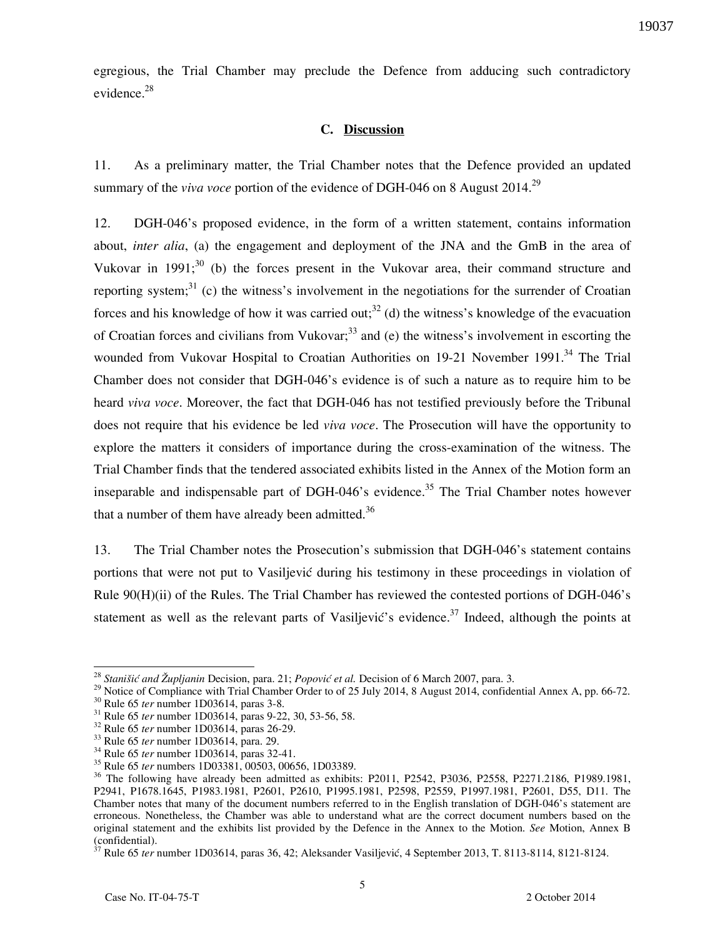egregious, the Trial Chamber may preclude the Defence from adducing such contradictory evidence.<sup>28</sup>

## **C. Discussion**

11. As a preliminary matter, the Trial Chamber notes that the Defence provided an updated summary of the *viva voce* portion of the evidence of DGH-046 on 8 August 2014.<sup>29</sup>

12. DGH-046's proposed evidence, in the form of a written statement, contains information about, *inter alia*, (a) the engagement and deployment of the JNA and the GmB in the area of Vukovar in 1991;<sup>30</sup> (b) the forces present in the Vukovar area, their command structure and reporting system;<sup>31</sup> (c) the witness's involvement in the negotiations for the surrender of Croatian forces and his knowledge of how it was carried out;<sup>32</sup> (d) the witness's knowledge of the evacuation of Croatian forces and civilians from Vukovar;  $33$  and (e) the witness's involvement in escorting the wounded from Vukovar Hospital to Croatian Authorities on 19-21 November 1991.<sup>34</sup> The Trial Chamber does not consider that DGH-046's evidence is of such a nature as to require him to be heard *viva voce*. Moreover, the fact that DGH-046 has not testified previously before the Tribunal does not require that his evidence be led *viva voce*. The Prosecution will have the opportunity to explore the matters it considers of importance during the cross-examination of the witness. The Trial Chamber finds that the tendered associated exhibits listed in the Annex of the Motion form an inseparable and indispensable part of DGH-046's evidence.<sup>35</sup> The Trial Chamber notes however that a number of them have already been admitted.<sup>36</sup>

13. The Trial Chamber notes the Prosecution's submission that DGH-046's statement contains portions that were not put to Vasiljević during his testimony in these proceedings in violation of Rule 90(H)(ii) of the Rules. The Trial Chamber has reviewed the contested portions of DGH-046's statement as well as the relevant parts of Vasiljević's evidence.<sup>37</sup> Indeed, although the points at

<sup>&</sup>lt;sup>28</sup> *Stanišić and Župljanin* Decision, para. 21; *Popović et al.* Decision of 6 March 2007, para. 3.

<sup>&</sup>lt;sup>29</sup> Notice of Compliance with Trial Chamber Order to of 25 July 2014, 8 August 2014, confidential Annex A, pp. 66-72. <sup>30</sup> Rule 65 *ter* number 1D03614, paras 3-8.

<sup>31</sup> Rule 65 *ter* number 1D03614, paras 9-22, 30, 53-56, 58.

<sup>32</sup> Rule 65 *ter* number 1D03614, paras 26-29.

<sup>33</sup> Rule 65 *ter* number 1D03614, para. 29.

<sup>34</sup> Rule 65 *ter* number 1D03614, paras 32-41.

<sup>35</sup> Rule 65 *ter* numbers 1D03381, 00503, 00656, 1D03389.

<sup>&</sup>lt;sup>36</sup> The following have already been admitted as exhibits: P2011, P2542, P3036, P2558, P2271.2186, P1989.1981, P2941, P1678.1645, P1983.1981, P2601, P2610, P1995.1981, P2598, P2559, P1997.1981, P2601, D55, D11. The Chamber notes that many of the document numbers referred to in the English translation of DGH-046's statement are erroneous. Nonetheless, the Chamber was able to understand what are the correct document numbers based on the original statement and the exhibits list provided by the Defence in the Annex to the Motion. *See* Motion, Annex B  $\overline{\text{confidential}}$ .

<sup>&</sup>lt;sup>7</sup> Rule 65 *ter* number 1D03614, paras 36, 42; Aleksander Vasiljević, 4 September 2013, T. 8113-8114, 8121-8124.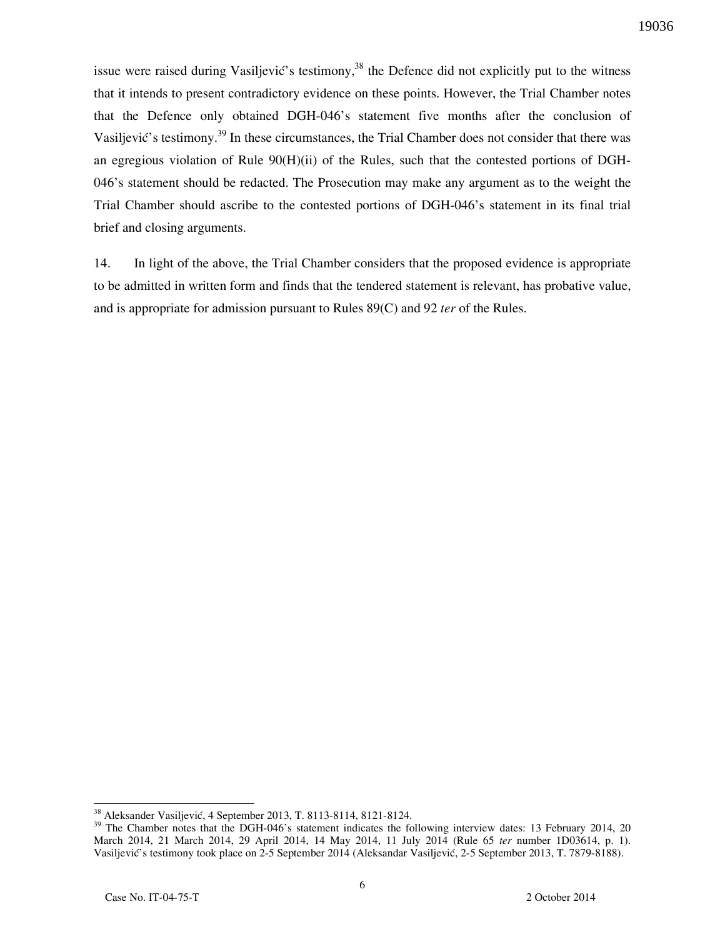issue were raised during Vasiljević's testimony,<sup>38</sup> the Defence did not explicitly put to the witness that it intends to present contradictory evidence on these points. However, the Trial Chamber notes that the Defence only obtained DGH-046's statement five months after the conclusion of Vasiljević's testimony.<sup>39</sup> In these circumstances, the Trial Chamber does not consider that there was an egregious violation of Rule 90(H)(ii) of the Rules, such that the contested portions of DGH-046's statement should be redacted. The Prosecution may make any argument as to the weight the Trial Chamber should ascribe to the contested portions of DGH-046's statement in its final trial brief and closing arguments.

14. In light of the above, the Trial Chamber considers that the proposed evidence is appropriate to be admitted in written form and finds that the tendered statement is relevant, has probative value, and is appropriate for admission pursuant to Rules 89(C) and 92 *ter* of the Rules.

<sup>&</sup>lt;sup>38</sup> Aleksander Vasiljević, 4 September 2013, T. 8113-8114, 8121-8124.

<sup>&</sup>lt;sup>39</sup> The Chamber notes that the DGH-046's statement indicates the following interview dates: 13 February 2014, 20 March 2014, 21 March 2014, 29 April 2014, 14 May 2014, 11 July 2014 (Rule 65 *ter* number 1D03614, p. 1). Vasiljević's testimony took place on 2-5 September 2014 (Aleksandar Vasiljević, 2-5 September 2013, T. 7879-8188).